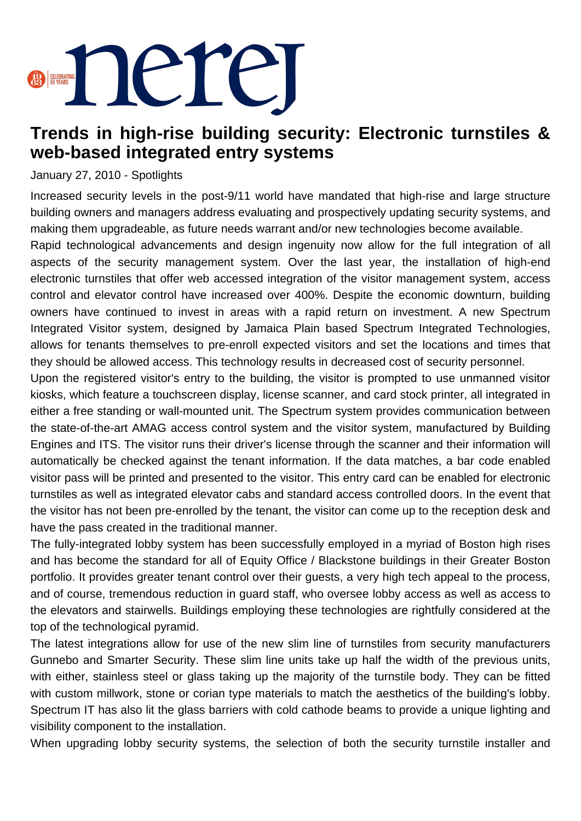

## **Trends in high-rise building security: Electronic turnstiles & web-based integrated entry systems**

## January 27, 2010 - Spotlights

Increased security levels in the post-9/11 world have mandated that high-rise and large structure building owners and managers address evaluating and prospectively updating security systems, and making them upgradeable, as future needs warrant and/or new technologies become available.

Rapid technological advancements and design ingenuity now allow for the full integration of all aspects of the security management system. Over the last year, the installation of high-end electronic turnstiles that offer web accessed integration of the visitor management system, access control and elevator control have increased over 400%. Despite the economic downturn, building owners have continued to invest in areas with a rapid return on investment. A new Spectrum Integrated Visitor system, designed by Jamaica Plain based Spectrum Integrated Technologies, allows for tenants themselves to pre-enroll expected visitors and set the locations and times that they should be allowed access. This technology results in decreased cost of security personnel.

Upon the registered visitor's entry to the building, the visitor is prompted to use unmanned visitor kiosks, which feature a touchscreen display, license scanner, and card stock printer, all integrated in either a free standing or wall-mounted unit. The Spectrum system provides communication between the state-of-the-art AMAG access control system and the visitor system, manufactured by Building Engines and ITS. The visitor runs their driver's license through the scanner and their information will automatically be checked against the tenant information. If the data matches, a bar code enabled visitor pass will be printed and presented to the visitor. This entry card can be enabled for electronic turnstiles as well as integrated elevator cabs and standard access controlled doors. In the event that the visitor has not been pre-enrolled by the tenant, the visitor can come up to the reception desk and have the pass created in the traditional manner.

The fully-integrated lobby system has been successfully employed in a myriad of Boston high rises and has become the standard for all of Equity Office / Blackstone buildings in their Greater Boston portfolio. It provides greater tenant control over their guests, a very high tech appeal to the process, and of course, tremendous reduction in guard staff, who oversee lobby access as well as access to the elevators and stairwells. Buildings employing these technologies are rightfully considered at the top of the technological pyramid.

The latest integrations allow for use of the new slim line of turnstiles from security manufacturers Gunnebo and Smarter Security. These slim line units take up half the width of the previous units, with either, stainless steel or glass taking up the majority of the turnstile body. They can be fitted with custom millwork, stone or corian type materials to match the aesthetics of the building's lobby. Spectrum IT has also lit the glass barriers with cold cathode beams to provide a unique lighting and visibility component to the installation.

When upgrading lobby security systems, the selection of both the security turnstile installer and